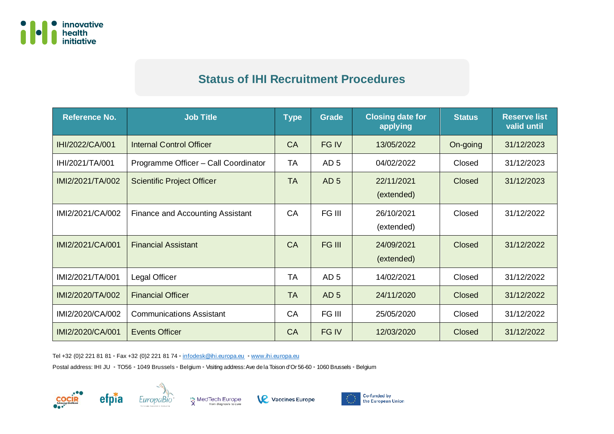

## **Status of IHI Recruitment Procedures**

| <b>Reference No.</b> | <b>Job Title</b>                     | <b>Type</b> | <b>Grade</b>    | <b>Closing date for</b><br>applying | <b>Status</b> | <b>Reserve list</b><br>valid until |
|----------------------|--------------------------------------|-------------|-----------------|-------------------------------------|---------------|------------------------------------|
| IHI/2022/CA/001      | <b>Internal Control Officer</b>      | <b>CA</b>   | FG IV           | 13/05/2022                          | On-going      | 31/12/2023                         |
| IHI/2021/TA/001      | Programme Officer - Call Coordinator | TA          | AD <sub>5</sub> | 04/02/2022                          | Closed        | 31/12/2023                         |
| IMI2/2021/TA/002     | <b>Scientific Project Officer</b>    | <b>TA</b>   | AD <sub>5</sub> | 22/11/2021<br>(extended)            | Closed        | 31/12/2023                         |
| IMI2/2021/CA/002     | Finance and Accounting Assistant     | <b>CA</b>   | FG III          | 26/10/2021<br>(extended)            | Closed        | 31/12/2022                         |
| IMI2/2021/CA/001     | <b>Financial Assistant</b>           | <b>CA</b>   | FG III          | 24/09/2021<br>(extended)            | <b>Closed</b> | 31/12/2022                         |
| IMI2/2021/TA/001     | Legal Officer                        | <b>TA</b>   | AD <sub>5</sub> | 14/02/2021                          | Closed        | 31/12/2022                         |
| IMI2/2020/TA/002     | <b>Financial Officer</b>             | <b>TA</b>   | AD <sub>5</sub> | 24/11/2020                          | <b>Closed</b> | 31/12/2022                         |
| IMI2/2020/CA/002     | <b>Communications Assistant</b>      | <b>CA</b>   | FG III          | 25/05/2020                          | Closed        | 31/12/2022                         |
| IMI2/2020/CA/001     | <b>Events Officer</b>                | <b>CA</b>   | FG IV           | 12/03/2020                          | <b>Closed</b> | 31/12/2022                         |

Tel +32 (0)2 221 81 81 • Fax +32 (0)2 221 81 74 • [infodesk@ihi.europa.eu](mailto:infodesk@ihi.europa.eu) • [www.ihi.europa.eu](http://www.ihi.europa.eu/)

Postal address: IHI JU • TO56 • 1049 Brussels • Belgium • Visiting address: Ave de la Toison d'Or 56-60 • 1060 Brussels • Belgium







**Vaccines Europe**